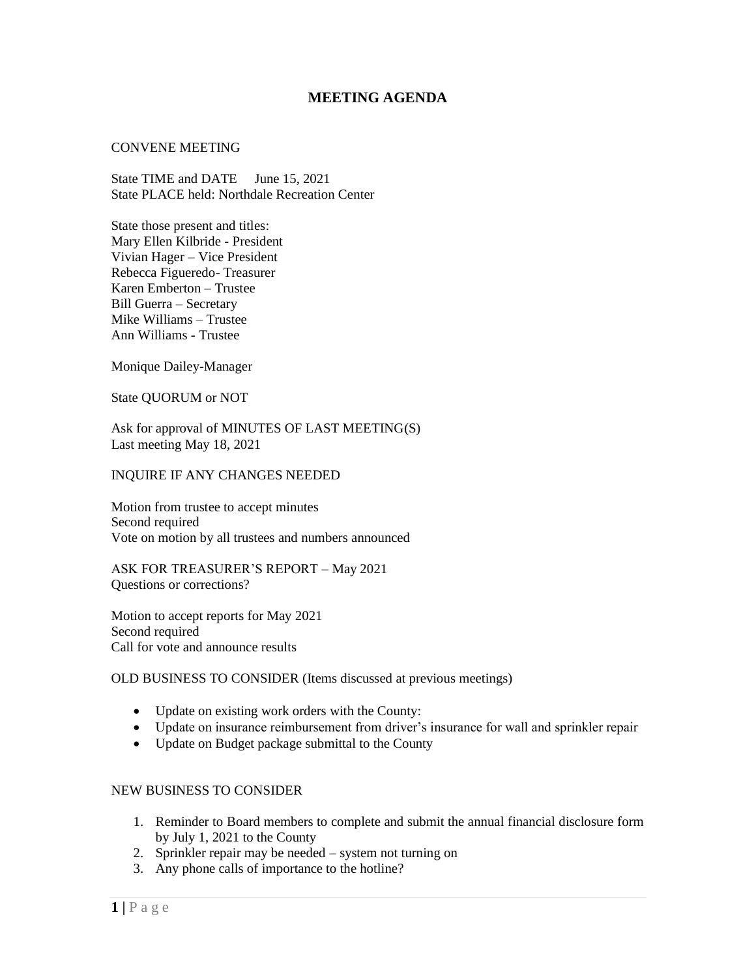# **MEETING AGENDA**

#### CONVENE MEETING

State TIME and DATE June 15, 2021 State PLACE held: Northdale Recreation Center

State those present and titles: Mary Ellen Kilbride - President Vivian Hager – Vice President Rebecca Figueredo- Treasurer Karen Emberton – Trustee Bill Guerra – Secretary Mike Williams – Trustee Ann Williams - Trustee

Monique Dailey-Manager

State QUORUM or NOT

Ask for approval of MINUTES OF LAST MEETING(S) Last meeting May 18, 2021

#### INQUIRE IF ANY CHANGES NEEDED

Motion from trustee to accept minutes Second required Vote on motion by all trustees and numbers announced

ASK FOR TREASURER'S REPORT – May 2021 Questions or corrections?

Motion to accept reports for May 2021 Second required Call for vote and announce results

## OLD BUSINESS TO CONSIDER (Items discussed at previous meetings)

- Update on existing work orders with the County:
- Update on insurance reimbursement from driver's insurance for wall and sprinkler repair
- Update on Budget package submittal to the County

### NEW BUSINESS TO CONSIDER

- 1. Reminder to Board members to complete and submit the annual financial disclosure form by July 1, 2021 to the County
- 2. Sprinkler repair may be needed system not turning on
- 3. Any phone calls of importance to the hotline?